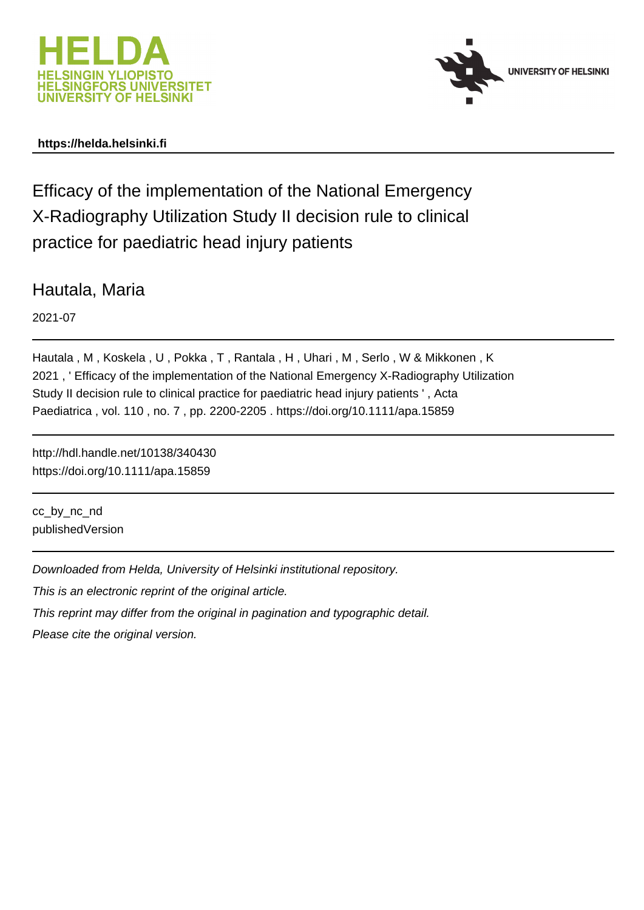



## **https://helda.helsinki.fi**

Efficacy of the implementation of the National Emergency X-Radiography Utilization Study II decision rule to clinical practice for paediatric head injury patients

Hautala, Maria

2021-07

Hautala , M , Koskela , U , Pokka , T , Rantala , H , Uhari , M , Serlo , W & Mikkonen , K 2021 , ' Efficacy of the implementation of the National Emergency X-Radiography Utilization Study II decision rule to clinical practice for paediatric head injury patients ' , Acta Paediatrica , vol. 110 , no. 7 , pp. 2200-2205 . https://doi.org/10.1111/apa.15859

http://hdl.handle.net/10138/340430 https://doi.org/10.1111/apa.15859

cc\_by\_nc\_nd publishedVersion

Downloaded from Helda, University of Helsinki institutional repository.

This is an electronic reprint of the original article.

This reprint may differ from the original in pagination and typographic detail.

Please cite the original version.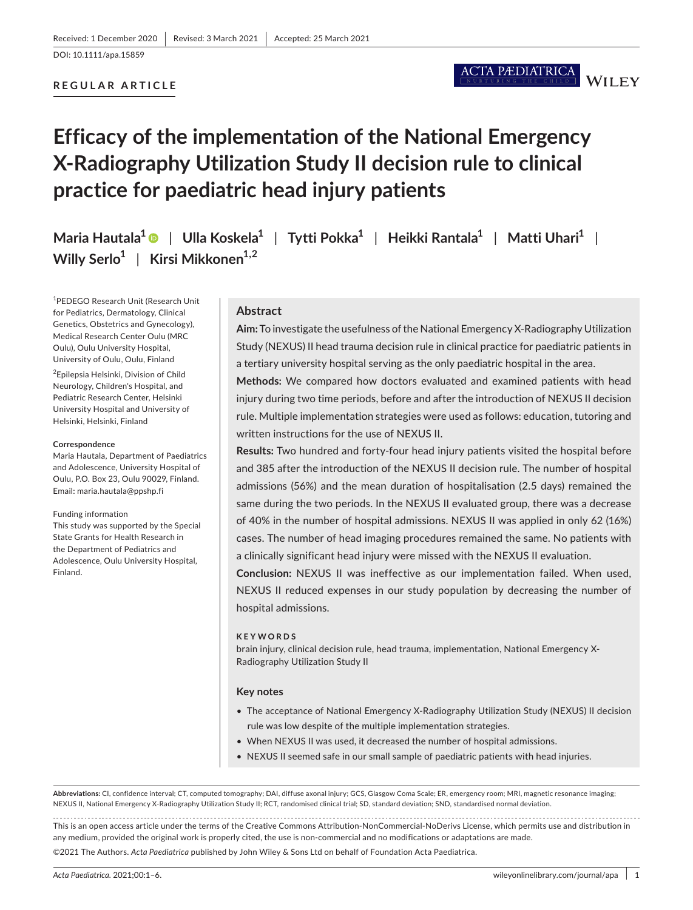#### DOI: 10.1111/apa.15859

### **REGULAR ARTICLE**

# **Efficacy of the implementation of the National Emergency X-Radiography Utilization Study II decision rule to clinical practice for paediatric head injury patients**

**Maria Hautala1** | **Ulla Koskela1** | **Tytti Pokka1** | **Heikki Rantala1** | **Matti Uhari1** | **Willy Serlo1** | **Kirsi Mikkonen1,2**

1 PEDEGO Research Unit (Research Unit for Pediatrics, Dermatology, Clinical Genetics, Obstetrics and Gynecology), Medical Research Center Oulu (MRC Oulu), Oulu University Hospital, University of Oulu, Oulu, Finland

2 Epilepsia Helsinki, Division of Child Neurology, Children's Hospital, and Pediatric Research Center, Helsinki University Hospital and University of Helsinki, Helsinki, Finland

#### **Correspondence**

Maria Hautala, Department of Paediatrics and Adolescence, University Hospital of Oulu, P.O. Box 23, Oulu 90029, Finland. Email: [maria.hautala@ppshp.fi](mailto:maria.hautala@ppshp.fi)

#### Funding information

This study was supported by the Special State Grants for Health Research in the Department of Pediatrics and Adolescence, Oulu University Hospital, Finland.

#### **Abstract**

**Aim:** To investigate the usefulness of the National Emergency X-Radiography Utilization Study (NEXUS) II head trauma decision rule in clinical practice for paediatric patients in a tertiary university hospital serving as the only paediatric hospital in the area.

ACTA PÆDIATRICA

**WILEY** 

**Methods:** We compared how doctors evaluated and examined patients with head injury during two time periods, before and after the introduction of NEXUS II decision rule. Multiple implementation strategies were used as follows: education, tutoring and written instructions for the use of NEXUS II.

**Results:** Two hundred and forty-four head injury patients visited the hospital before and 385 after the introduction of the NEXUS II decision rule. The number of hospital admissions (56%) and the mean duration of hospitalisation (2.5 days) remained the same during the two periods. In the NEXUS II evaluated group, there was a decrease of 40% in the number of hospital admissions. NEXUS II was applied in only 62 (16%) cases. The number of head imaging procedures remained the same. No patients with a clinically significant head injury were missed with the NEXUS II evaluation.

**Conclusion:** NEXUS II was ineffective as our implementation failed. When used, NEXUS II reduced expenses in our study population by decreasing the number of hospital admissions.

#### **KEYWORDS**

brain injury, clinical decision rule, head trauma, implementation, National Emergency X-Radiography Utilization Study II

#### **Key notes**

- The acceptance of National Emergency X-Radiography Utilization Study (NEXUS) II decision rule was low despite of the multiple implementation strategies.
- When NEXUS II was used, it decreased the number of hospital admissions.
- NEXUS II seemed safe in our small sample of paediatric patients with head injuries.

**Abbreviations:** CI, confidence interval; CT, computed tomography; DAI, diffuse axonal injury; GCS, Glasgow Coma Scale; ER, emergency room; MRI, magnetic resonance imaging; NEXUS II, National Emergency X-Radiography Utilization Study II; RCT, randomised clinical trial; SD, standard deviation; SND, standardised normal deviation.

This is an open access article under the terms of the [Creative Commons Attribution-NonCommercial-NoDerivs](http://creativecommons.org/licenses/by-nc-nd/4.0/) License, which permits use and distribution in any medium, provided the original work is properly cited, the use is non-commercial and no modifications or adaptations are made.

©2021 The Authors. *Acta Paediatrica* published by John Wiley & Sons Ltd on behalf of Foundation Acta Paediatrica.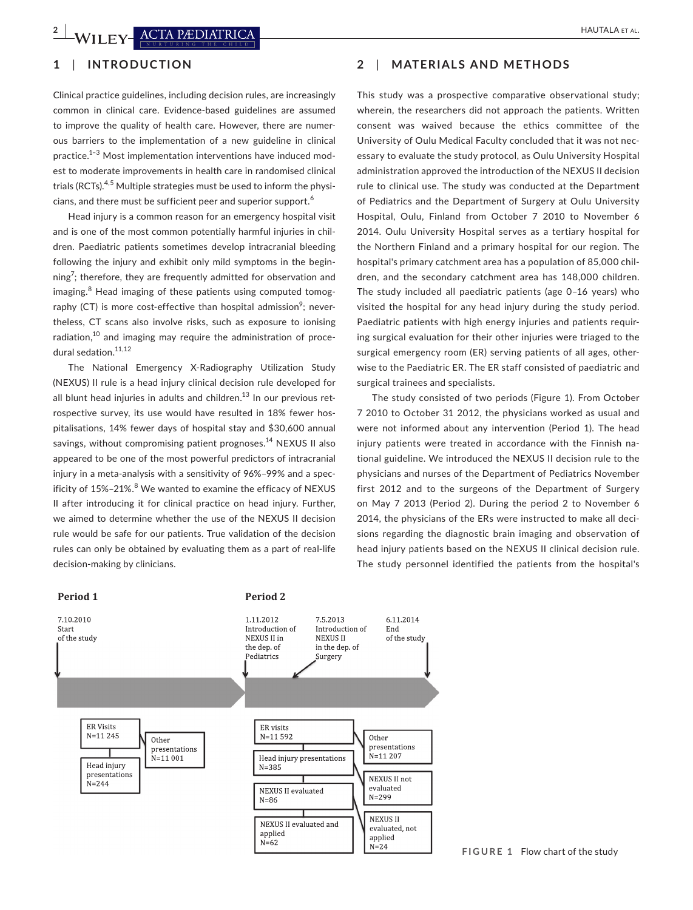## **1**  | **INTRODUCTION**

Clinical practice guidelines, including decision rules, are increasingly common in clinical care. Evidence-based guidelines are assumed to improve the quality of health care. However, there are numerous barriers to the implementation of a new guideline in clinical practice.<sup>1-3</sup> Most implementation interventions have induced modest to moderate improvements in health care in randomised clinical trials (RCTs).<sup>4,5</sup> Multiple strategies must be used to inform the physicians, and there must be sufficient peer and superior support.<sup>6</sup>

Head injury is a common reason for an emergency hospital visit and is one of the most common potentially harmful injuries in children. Paediatric patients sometimes develop intracranial bleeding following the injury and exhibit only mild symptoms in the beginning<sup>7</sup>; therefore, they are frequently admitted for observation and imaging.<sup>8</sup> Head imaging of these patients using computed tomography (CT) is more cost-effective than hospital admission $^{\circ}$ ; nevertheless, CT scans also involve risks, such as exposure to ionising radiation, $10<sup>10</sup>$  and imaging may require the administration of procedural sedation.<sup>11,12</sup>

The National Emergency X-Radiography Utilization Study (NEXUS) II rule is a head injury clinical decision rule developed for all blunt head injuries in adults and children. $13$  In our previous retrospective survey, its use would have resulted in 18% fewer hospitalisations, 14% fewer days of hospital stay and \$30,600 annual savings, without compromising patient prognoses.<sup>14</sup> NEXUS II also appeared to be one of the most powerful predictors of intracranial injury in a meta-analysis with a sensitivity of 96%–99% and a specificity of 15%–21%.<sup>8</sup> We wanted to examine the efficacy of NEXUS II after introducing it for clinical practice on head injury. Further, we aimed to determine whether the use of the NEXUS II decision rule would be safe for our patients. True validation of the decision rules can only be obtained by evaluating them as a part of real-life decision-making by clinicians.

Period 1 Period 2

## **2**  | **MATERIALS AND METHODS**

This study was a prospective comparative observational study; wherein, the researchers did not approach the patients. Written consent was waived because the ethics committee of the University of Oulu Medical Faculty concluded that it was not necessary to evaluate the study protocol, as Oulu University Hospital administration approved the introduction of the NEXUS II decision rule to clinical use. The study was conducted at the Department of Pediatrics and the Department of Surgery at Oulu University Hospital, Oulu, Finland from October 7 2010 to November 6 2014. Oulu University Hospital serves as a tertiary hospital for the Northern Finland and a primary hospital for our region. The hospital's primary catchment area has a population of 85,000 children, and the secondary catchment area has 148,000 children. The study included all paediatric patients (age 0–16 years) who visited the hospital for any head injury during the study period. Paediatric patients with high energy injuries and patients requiring surgical evaluation for their other injuries were triaged to the surgical emergency room (ER) serving patients of all ages, otherwise to the Paediatric ER. The ER staff consisted of paediatric and surgical trainees and specialists.

The study consisted of two periods (Figure 1). From October 7 2010 to October 31 2012, the physicians worked as usual and were not informed about any intervention (Period 1). The head injury patients were treated in accordance with the Finnish national guideline. We introduced the NEXUS II decision rule to the physicians and nurses of the Department of Pediatrics November first 2012 and to the surgeons of the Department of Surgery on May 7 2013 (Period 2). During the period 2 to November 6 2014, the physicians of the ERs were instructed to make all decisions regarding the diagnostic brain imaging and observation of head injury patients based on the NEXUS II clinical decision rule. The study personnel identified the patients from the hospital's

#### 7.10.2010 1.11.2012 7.5.2013 6.11.2014 Introduction of Introduction of Start End of the study of the study NEXUS II in **NEXUSII** the dep. of in the dep. of Pediatrics Surgery **ER Visits** ER visits  $N = 11245$  $N = 11592$ Other Other presentations presentations  $N = 11207$ .<br>N=11 001 Head injury presentations Head injury  $N = 385$ presentations NEXUS II not  $N = 244$ evaluated NEXUS II evaluated  $N = 299$  $N=86$ **NEXUS II** NEXUS II evaluated and evaluated, not applied applied  $N=62$  $N=24$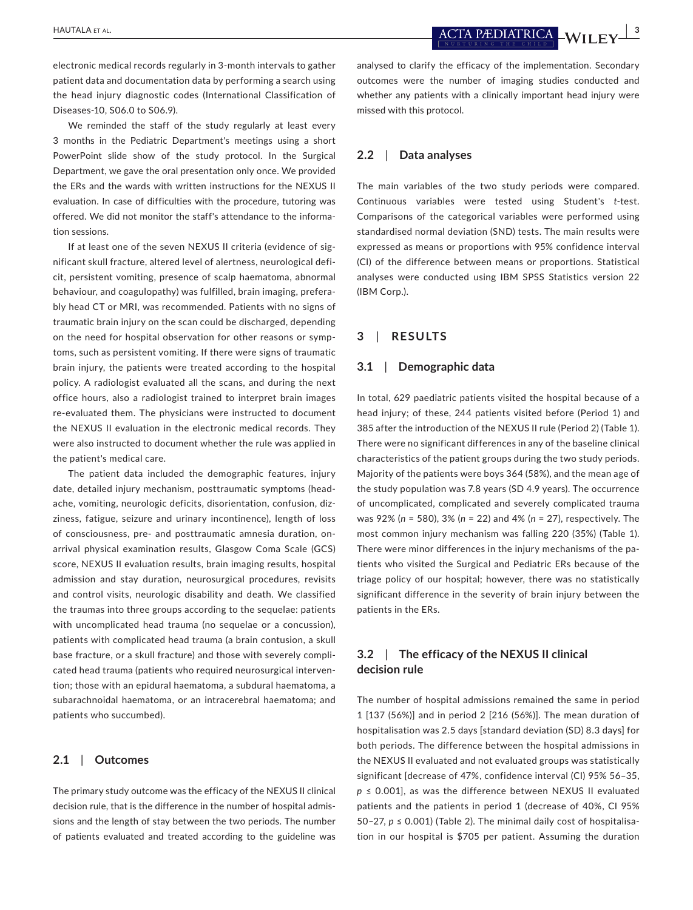electronic medical records regularly in 3-month intervals to gather patient data and documentation data by performing a search using the head injury diagnostic codes (International Classification of Diseases-10, S06.0 to S06.9).

We reminded the staff of the study regularly at least every 3 months in the Pediatric Department's meetings using a short PowerPoint slide show of the study protocol. In the Surgical Department, we gave the oral presentation only once. We provided the ERs and the wards with written instructions for the NEXUS II evaluation. In case of difficulties with the procedure, tutoring was offered. We did not monitor the staff's attendance to the information sessions.

If at least one of the seven NEXUS II criteria (evidence of significant skull fracture, altered level of alertness, neurological deficit, persistent vomiting, presence of scalp haematoma, abnormal behaviour, and coagulopathy) was fulfilled, brain imaging, preferably head CT or MRI, was recommended. Patients with no signs of traumatic brain injury on the scan could be discharged, depending on the need for hospital observation for other reasons or symptoms, such as persistent vomiting. If there were signs of traumatic brain injury, the patients were treated according to the hospital policy. A radiologist evaluated all the scans, and during the next office hours, also a radiologist trained to interpret brain images re-evaluated them. The physicians were instructed to document the NEXUS II evaluation in the electronic medical records. They were also instructed to document whether the rule was applied in the patient's medical care.

The patient data included the demographic features, injury date, detailed injury mechanism, posttraumatic symptoms (headache, vomiting, neurologic deficits, disorientation, confusion, dizziness, fatigue, seizure and urinary incontinence), length of loss of consciousness, pre- and posttraumatic amnesia duration, onarrival physical examination results, Glasgow Coma Scale (GCS) score, NEXUS II evaluation results, brain imaging results, hospital admission and stay duration, neurosurgical procedures, revisits and control visits, neurologic disability and death. We classified the traumas into three groups according to the sequelae: patients with uncomplicated head trauma (no sequelae or a concussion), patients with complicated head trauma (a brain contusion, a skull base fracture, or a skull fracture) and those with severely complicated head trauma (patients who required neurosurgical intervention; those with an epidural haematoma, a subdural haematoma, a subarachnoidal haematoma, or an intracerebral haematoma; and patients who succumbed).

### **2.1**  | **Outcomes**

The primary study outcome was the efficacy of the NEXUS II clinical decision rule, that is the difference in the number of hospital admissions and the length of stay between the two periods. The number of patients evaluated and treated according to the guideline was analysed to clarify the efficacy of the implementation. Secondary outcomes were the number of imaging studies conducted and whether any patients with a clinically important head injury were missed with this protocol.

#### **2.2**  | **Data analyses**

The main variables of the two study periods were compared. Continuous variables were tested using Student's *t*-test. Comparisons of the categorical variables were performed using standardised normal deviation (SND) tests. The main results were expressed as means or proportions with 95% confidence interval (CI) of the difference between means or proportions. Statistical analyses were conducted using IBM SPSS Statistics version 22 (IBM Corp.).

### **3**  | **RESULTS**

#### **3.1**  | **Demographic data**

In total, 629 paediatric patients visited the hospital because of a head injury; of these, 244 patients visited before (Period 1) and 385 after the introduction of the NEXUS II rule (Period 2) (Table 1). There were no significant differences in any of the baseline clinical characteristics of the patient groups during the two study periods. Majority of the patients were boys 364 (58%), and the mean age of the study population was 7.8 years (SD 4.9 years). The occurrence of uncomplicated, complicated and severely complicated trauma was 92% (*n* = 580), 3% (*n* = 22) and 4% (*n* = 27), respectively. The most common injury mechanism was falling 220 (35%) (Table 1). There were minor differences in the injury mechanisms of the patients who visited the Surgical and Pediatric ERs because of the triage policy of our hospital; however, there was no statistically significant difference in the severity of brain injury between the patients in the ERs.

## **3.2**  | **The efficacy of the NEXUS II clinical decision rule**

The number of hospital admissions remained the same in period 1 [137 (56%)] and in period 2 [216 (56%)]. The mean duration of hospitalisation was 2.5 days [standard deviation (SD) 8.3 days] for both periods. The difference between the hospital admissions in the NEXUS II evaluated and not evaluated groups was statistically significant [decrease of 47%, confidence interval (CI) 95% 56–35, *p* ≤ 0.001], as was the difference between NEXUS II evaluated patients and the patients in period 1 (decrease of 40%, CI 95% 50–27,  $p \le 0.001$ ) (Table 2). The minimal daily cost of hospitalisation in our hospital is \$705 per patient. Assuming the duration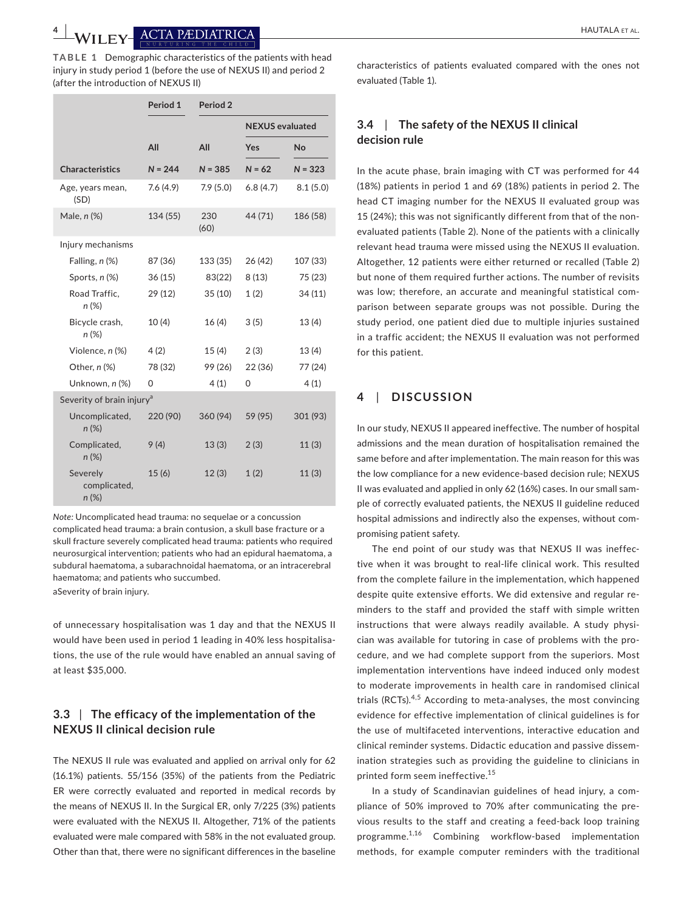**TABLE 1** Demographic characteristics of the patients with head injury in study period 1 (before the use of NEXUS II) and period 2 (after the introduction of NEXUS II)

|                                       | Period 1  | Period <sub>2</sub> |                        |           |  |  |  |  |  |  |
|---------------------------------------|-----------|---------------------|------------------------|-----------|--|--|--|--|--|--|
|                                       |           |                     | <b>NEXUS</b> evaluated |           |  |  |  |  |  |  |
|                                       | All       | All                 | Yes                    | No        |  |  |  |  |  |  |
| <b>Characteristics</b>                | $N = 244$ | $N = 385$           | $N = 62$               | $N = 323$ |  |  |  |  |  |  |
| Age, years mean,<br>(SD)              | 7.6(4.9)  | 7.9(5.0)            | 6.8(4.7)               | 8.1(5.0)  |  |  |  |  |  |  |
| Male, n (%)                           | 134 (55)  | 230<br>(60)         | 44 (71)                | 186 (58)  |  |  |  |  |  |  |
| Injury mechanisms                     |           |                     |                        |           |  |  |  |  |  |  |
| Falling, n (%)                        | 87 (36)   | 133 (35)            | 26 (42)                | 107 (33)  |  |  |  |  |  |  |
| Sports, n (%)                         | 36(15)    | 83(22)              | 8(13)                  | 75 (23)   |  |  |  |  |  |  |
| Road Traffic,<br>$n (\%)$             | 29 (12)   | 35(10)              | 1(2)                   | 34 (11)   |  |  |  |  |  |  |
| Bicycle crash,<br>n (%)               | 10(4)     | 16(4)               | 3(5)                   | 13(4)     |  |  |  |  |  |  |
| Violence, n (%)                       | 4(2)      | 15(4)               | 2(3)                   | 13(4)     |  |  |  |  |  |  |
| Other, n (%)                          | 78 (32)   | 99 (26)             | 22 (36)                | 77 (24)   |  |  |  |  |  |  |
| Unknown, n (%)                        | 0         | 4(1)                | 0                      | 4(1)      |  |  |  |  |  |  |
| Severity of brain injury <sup>a</sup> |           |                     |                        |           |  |  |  |  |  |  |
| Uncomplicated,<br>$n (\%)$            | 220 (90)  | 360 (94)            | 59 (95)                | 301 (93)  |  |  |  |  |  |  |
| Complicated,<br>$n (\%)$              | 9(4)      | 13(3)               | 2(3)                   | 11(3)     |  |  |  |  |  |  |
| Severely<br>complicated,<br>n(%)      | 15(6)     | 12(3)               | 1(2)                   | 11(3)     |  |  |  |  |  |  |

*Note:* Uncomplicated head trauma: no sequelae or a concussion complicated head trauma: a brain contusion, a skull base fracture or a skull fracture severely complicated head trauma: patients who required neurosurgical intervention; patients who had an epidural haematoma, a subdural haematoma, a subarachnoidal haematoma, or an intracerebral haematoma; and patients who succumbed. aSeverity of brain injury.

of unnecessary hospitalisation was 1 day and that the NEXUS II would have been used in period 1 leading in 40% less hospitalisations, the use of the rule would have enabled an annual saving of at least \$35,000.

## **3.3** | **The efficacy of the implementation of the NEXUS II clinical decision rule**

The NEXUS II rule was evaluated and applied on arrival only for 62 (16.1%) patients. 55/156 (35%) of the patients from the Pediatric ER were correctly evaluated and reported in medical records by the means of NEXUS II. In the Surgical ER, only 7/225 (3%) patients were evaluated with the NEXUS II. Altogether, 71% of the patients evaluated were male compared with 58% in the not evaluated group. Other than that, there were no significant differences in the baseline

characteristics of patients evaluated compared with the ones not evaluated (Table 1).

## **3.4**  | **The safety of the NEXUS II clinical decision rule**

In the acute phase, brain imaging with CT was performed for 44 (18%) patients in period 1 and 69 (18%) patients in period 2. The head CT imaging number for the NEXUS II evaluated group was 15 (24%); this was not significantly different from that of the nonevaluated patients (Table 2). None of the patients with a clinically relevant head trauma were missed using the NEXUS II evaluation. Altogether, 12 patients were either returned or recalled (Table 2) but none of them required further actions. The number of revisits was low; therefore, an accurate and meaningful statistical comparison between separate groups was not possible. During the study period, one patient died due to multiple injuries sustained in a traffic accident; the NEXUS II evaluation was not performed for this patient.

## **4**  | **DISCUSSION**

In our study, NEXUS II appeared ineffective. The number of hospital admissions and the mean duration of hospitalisation remained the same before and after implementation. The main reason for this was the low compliance for a new evidence-based decision rule; NEXUS II was evaluated and applied in only 62 (16%) cases. In our small sample of correctly evaluated patients, the NEXUS II guideline reduced hospital admissions and indirectly also the expenses, without compromising patient safety.

The end point of our study was that NEXUS II was ineffective when it was brought to real-life clinical work. This resulted from the complete failure in the implementation, which happened despite quite extensive efforts. We did extensive and regular reminders to the staff and provided the staff with simple written instructions that were always readily available. A study physician was available for tutoring in case of problems with the procedure, and we had complete support from the superiors. Most implementation interventions have indeed induced only modest to moderate improvements in health care in randomised clinical trials (RCTs).<sup>4,5</sup> According to meta-analyses, the most convincing evidence for effective implementation of clinical guidelines is for the use of multifaceted interventions, interactive education and clinical reminder systems. Didactic education and passive dissemination strategies such as providing the guideline to clinicians in printed form seem ineffective.15

In a study of Scandinavian guidelines of head injury, a compliance of 50% improved to 70% after communicating the previous results to the staff and creating a feed-back loop training programme.1,16 Combining workflow-based implementation methods, for example computer reminders with the traditional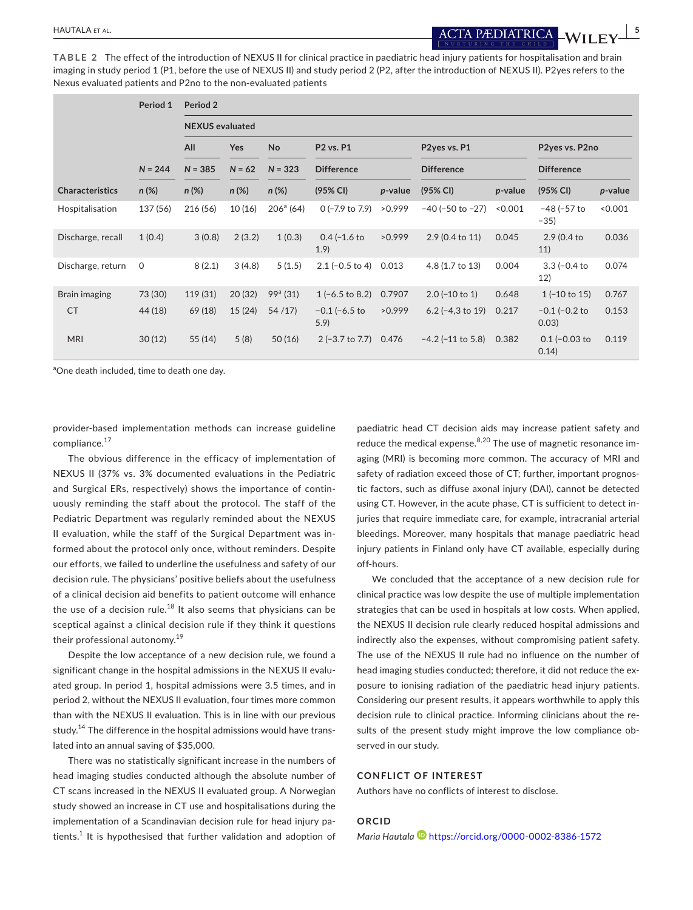**TABLE 2** The effect of the introduction of NEXUS II for clinical practice in paediatric head injury patients for hospitalisation and brain imaging in study period 1 (P1, before the use of NEXUS II) and study period 2 (P2, after the introduction of NEXUS II). P2yes refers to the Nexus evaluated patients and P2no to the non-evaluated patients

|                        | Period 1 | Period 2<br><b>NEXUS</b> evaluated |           |                    |                           |           |                          |         |                             |         |
|------------------------|----------|------------------------------------|-----------|--------------------|---------------------------|-----------|--------------------------|---------|-----------------------------|---------|
|                        |          |                                    |           |                    |                           |           |                          |         |                             |         |
|                        |          |                                    | $N = 244$ | $N = 385$          | $N = 62$                  | $N = 323$ | <b>Difference</b>        |         | <b>Difference</b>           |         |
| <b>Characteristics</b> | $n (\%)$ | $n(\%)$                            | $n(\%)$   | $n(\%)$            | (95% CI)                  | p-value   | (95% CI)                 | p-value | (95% CI)                    | p-value |
| Hospitalisation        | 137 (56) | 216 (56)                           | 10(16)    | $206^{\circ}$ (64) | $0$ (-7.9 to 7.9)         | >0.999    | $-40$ ( $-50$ to $-27$ ) | < 0.001 | $-48$ ( $-57$ to<br>$-35)$  | 0.001   |
| Discharge, recall      | 1(0.4)   | 3(0.8)                             | 2(3.2)    | 1(0.3)             | $0.4 (-1.6)$<br>1.9)      | >0.999    | 2.9 (0.4 to 11)          | 0.045   | 2.9 (0.4 to<br>11)          | 0.036   |
| Discharge, return      | 0        | 8(2.1)                             | 3(4.8)    | 5(1.5)             | $2.1 (-0.5 to 4)$         | 0.013     | 4.8 (1.7 to 13)          | 0.004   | $3.3 (-0.4)$<br>12)         | 0.074   |
| Brain imaging          | 73 (30)  | 119 (31)                           | 20(32)    | $99a$ (31)         | $1(-6.5 \text{ to } 8.2)$ | 0.7907    | $2.0$ (-10 to 1)         | 0.648   | $1(-10 \text{ to } 15)$     | 0.767   |
| <b>CT</b>              | 44 (18)  | 69 (18)                            | 15(24)    | 54/17              | $-0.1$ (-6.5 to<br>5.9    | >0.999    | $6.2$ (-4,3 to 19)       | 0.217   | $-0.1$ ( $-0.2$ to<br>0.03) | 0.153   |
| <b>MRI</b>             | 30(12)   | 55 (14)                            | 5(8)      | 50(16)             | $2(-3.7)$ to 7.7)         | 0.476     | $-4.2$ ( $-11$ to 5.8)   | 0.382   | $0.1$ (-0.03 to<br>0.14)    | 0.119   |

<sup>a</sup>One death included, time to death one day.

provider-based implementation methods can increase guideline compliance.17

The obvious difference in the efficacy of implementation of NEXUS II (37% vs. 3% documented evaluations in the Pediatric and Surgical ERs, respectively) shows the importance of continuously reminding the staff about the protocol. The staff of the Pediatric Department was regularly reminded about the NEXUS II evaluation, while the staff of the Surgical Department was informed about the protocol only once, without reminders. Despite our efforts, we failed to underline the usefulness and safety of our decision rule. The physicians' positive beliefs about the usefulness of a clinical decision aid benefits to patient outcome will enhance the use of a decision rule.<sup>18</sup> It also seems that physicians can be sceptical against a clinical decision rule if they think it questions their professional autonomy.<sup>19</sup>

Despite the low acceptance of a new decision rule, we found a significant change in the hospital admissions in the NEXUS II evaluated group. In period 1, hospital admissions were 3.5 times, and in period 2, without the NEXUS II evaluation, four times more common than with the NEXUS II evaluation. This is in line with our previous study.<sup>14</sup> The difference in the hospital admissions would have translated into an annual saving of \$35,000.

There was no statistically significant increase in the numbers of head imaging studies conducted although the absolute number of CT scans increased in the NEXUS II evaluated group. A Norwegian study showed an increase in CT use and hospitalisations during the implementation of a Scandinavian decision rule for head injury patients. $^1$  It is hypothesised that further validation and adoption of

paediatric head CT decision aids may increase patient safety and reduce the medical expense. $8,20$  The use of magnetic resonance imaging (MRI) is becoming more common. The accuracy of MRI and safety of radiation exceed those of CT; further, important prognostic factors, such as diffuse axonal injury (DAI), cannot be detected using CT. However, in the acute phase, CT is sufficient to detect injuries that require immediate care, for example, intracranial arterial bleedings. Moreover, many hospitals that manage paediatric head injury patients in Finland only have CT available, especially during off-hours.

We concluded that the acceptance of a new decision rule for clinical practice was low despite the use of multiple implementation strategies that can be used in hospitals at low costs. When applied, the NEXUS II decision rule clearly reduced hospital admissions and indirectly also the expenses, without compromising patient safety. The use of the NEXUS II rule had no influence on the number of head imaging studies conducted; therefore, it did not reduce the exposure to ionising radiation of the paediatric head injury patients. Considering our present results, it appears worthwhile to apply this decision rule to clinical practice. Informing clinicians about the results of the present study might improve the low compliance observed in our study.

#### **CONFLICT OF INTEREST**

Authors have no conflicts of interest to disclose.

#### **ORCID**

*Maria Hautala* <https://orcid.org/0000-0002-8386-1572>